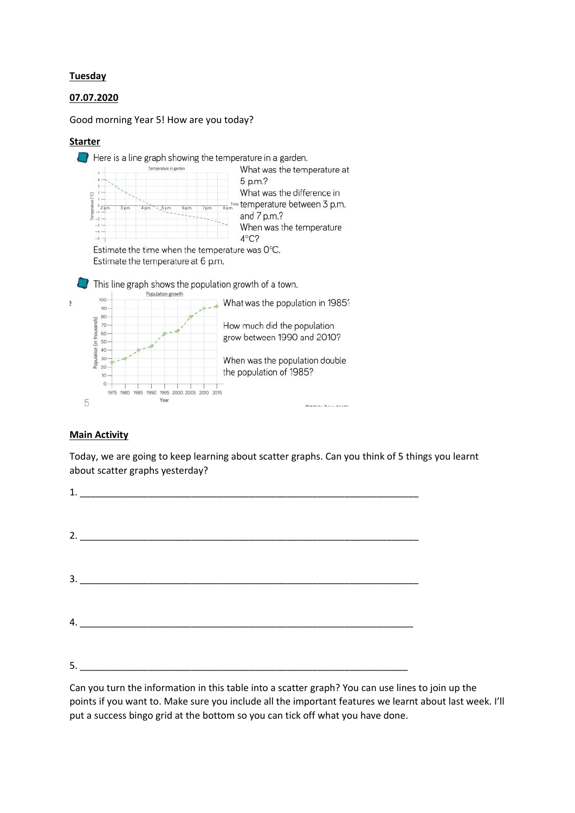### **Tuesday**

# 07.07.2020

Good morning Year 5! How are you today?

## Starter



### Main Activity

Today, we are going to keep learning about scatter graphs. Can you think of 5 things you learnt about scatter graphs yesterday?

Can you turn the information in this table into a scatter graph? You can use lines to join up the points if you want to. Make sure you include all the important features we learnt about last week. I'll put a success bingo grid at the bottom so you can tick off what you have done.